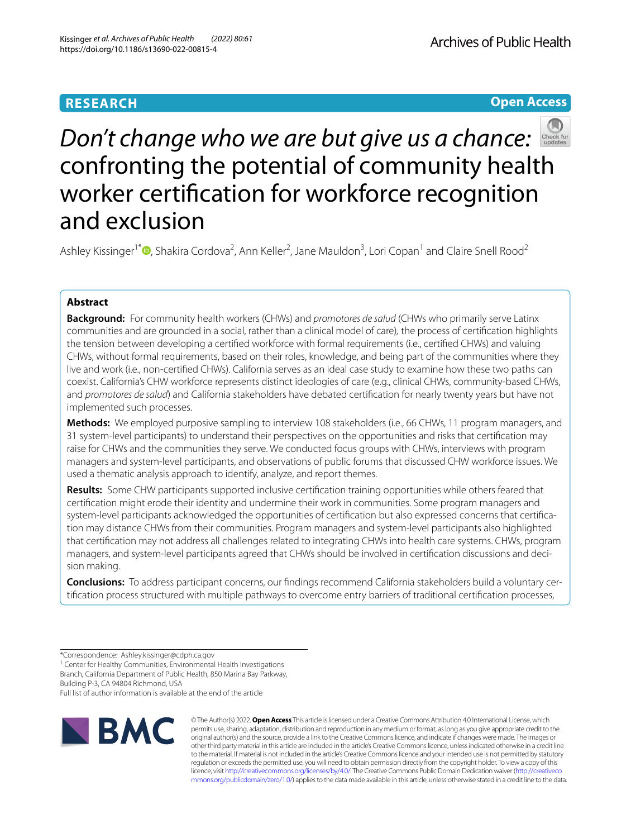# **RESEARCH**

**Open Access**



# *Don't change who we are but give us a chance:* confronting the potential of community health worker certifcation for workforce recognition and exclusion

Ashley Kissinger<sup>1[\\*](http://orcid.org/0000-0002-5329-2823)</sup><sup>®</sup>, Shakira Cordova<sup>2</sup>, Ann Keller<sup>2</sup>, Jane Mauldon<sup>3</sup>, Lori Copan<sup>1</sup> and Claire Snell Rood<sup>2</sup>

## **Abstract**

**Background:** For community health workers (CHWs) and *promotores de salud* (CHWs who primarily serve Latinx communities and are grounded in a social, rather than a clinical model of care)*,* the process of certifcation highlights the tension between developing a certifed workforce with formal requirements (i.e., certifed CHWs) and valuing CHWs, without formal requirements, based on their roles, knowledge, and being part of the communities where they live and work (i.e., non-certifed CHWs). California serves as an ideal case study to examine how these two paths can coexist. California's CHW workforce represents distinct ideologies of care (e.g., clinical CHWs, community-based CHWs, and *promotores de salud*) and California stakeholders have debated certifcation for nearly twenty years but have not implemented such processes.

**Methods:** We employed purposive sampling to interview 108 stakeholders (i.e., 66 CHWs, 11 program managers, and 31 system-level participants) to understand their perspectives on the opportunities and risks that certifcation may raise for CHWs and the communities they serve. We conducted focus groups with CHWs, interviews with program managers and system-level participants, and observations of public forums that discussed CHW workforce issues. We used a thematic analysis approach to identify, analyze, and report themes.

**Results:** Some CHW participants supported inclusive certifcation training opportunities while others feared that certifcation might erode their identity and undermine their work in communities. Some program managers and system-level participants acknowledged the opportunities of certifcation but also expressed concerns that certifcation may distance CHWs from their communities. Program managers and system-level participants also highlighted that certifcation may not address all challenges related to integrating CHWs into health care systems. CHWs, program managers, and system-level participants agreed that CHWs should be involved in certifcation discussions and decision making.

**Conclusions:** To address participant concerns, our fndings recommend California stakeholders build a voluntary certifcation process structured with multiple pathways to overcome entry barriers of traditional certifcation processes,

<sup>1</sup> Center for Healthy Communities, Environmental Health Investigations Branch, California Department of Public Health, 850 Marina Bay Parkway,

Building P-3, CA 94804 Richmond, USA

Full list of author information is available at the end of the article



© The Author(s) 2022. **Open Access** This article is licensed under a Creative Commons Attribution 4.0 International License, which permits use, sharing, adaptation, distribution and reproduction in any medium or format, as long as you give appropriate credit to the original author(s) and the source, provide a link to the Creative Commons licence, and indicate if changes were made. The images or other third party material in this article are included in the article's Creative Commons licence, unless indicated otherwise in a credit line to the material. If material is not included in the article's Creative Commons licence and your intended use is not permitted by statutory regulation or exceeds the permitted use, you will need to obtain permission directly from the copyright holder. To view a copy of this licence, visit [http://creativecommons.org/licenses/by/4.0/.](http://creativecommons.org/licenses/by/4.0/) The Creative Commons Public Domain Dedication waiver ([http://creativeco](http://creativecommons.org/publicdomain/zero/1.0/) [mmons.org/publicdomain/zero/1.0/](http://creativecommons.org/publicdomain/zero/1.0/)) applies to the data made available in this article, unless otherwise stated in a credit line to the data.

<sup>\*</sup>Correspondence: Ashley.kissinger@cdph.ca.gov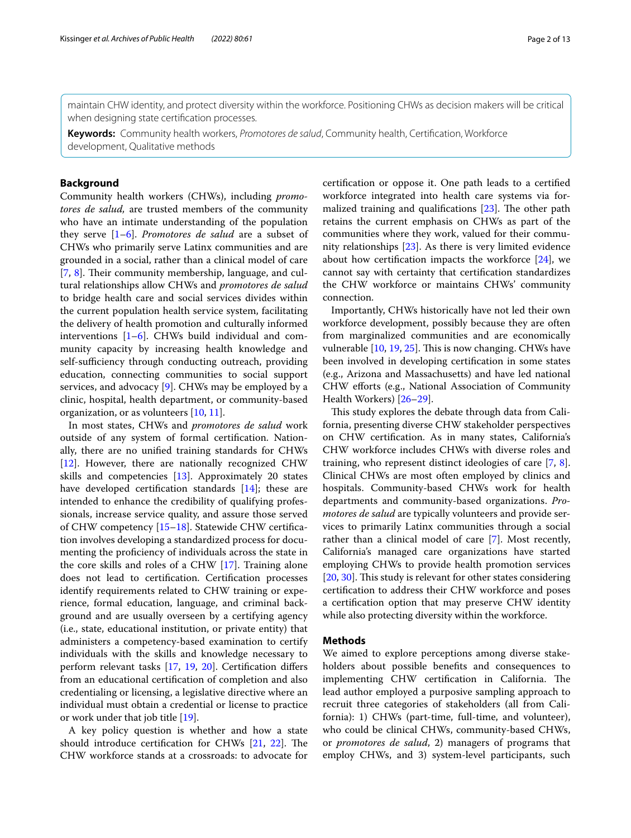maintain CHW identity, and protect diversity within the workforce. Positioning CHWs as decision makers will be critical when designing state certifcation processes.

**Keywords:** Community health workers, *Promotores de salud*, Community health, Certifcation, Workforce development, Qualitative methods

## **Background**

Community health workers (CHWs), including *promotores de salud,* are trusted members of the community who have an intimate understanding of the population they serve [\[1](#page-10-0)[–6\]](#page-10-1). *Promotores de salud* are a subset of CHWs who primarily serve Latinx communities and are grounded in a social, rather than a clinical model of care [[7,](#page-10-2) [8\]](#page-10-3). Their community membership, language, and cultural relationships allow CHWs and *promotores de salud* to bridge health care and social services divides within the current population health service system, facilitating the delivery of health promotion and culturally informed interventions [\[1](#page-10-0)–[6\]](#page-10-1). CHWs build individual and community capacity by increasing health knowledge and self-sufficiency through conducting outreach, providing education, connecting communities to social support services, and advocacy [[9\]](#page-10-4). CHWs may be employed by a clinic, hospital, health department, or community-based organization, or as volunteers [[10,](#page-10-5) [11](#page-10-6)].

In most states, CHWs and *promotores de salud* work outside of any system of formal certifcation. Nationally, there are no unifed training standards for CHWs [[12\]](#page-10-7). However, there are nationally recognized CHW skills and competencies  $[13]$  $[13]$ . Approximately 20 states have developed certifcation standards [[14](#page-10-9)]; these are intended to enhance the credibility of qualifying professionals, increase service quality, and assure those served of CHW competency [\[15](#page-10-10)[–18](#page-10-11)]. Statewide CHW certifcation involves developing a standardized process for documenting the profciency of individuals across the state in the core skills and roles of a CHW [\[17](#page-10-12)]. Training alone does not lead to certifcation. Certifcation processes identify requirements related to CHW training or experience, formal education, language, and criminal background and are usually overseen by a certifying agency (i.e., state, educational institution, or private entity) that administers a competency-based examination to certify individuals with the skills and knowledge necessary to perform relevant tasks [[17](#page-10-12), [19](#page-10-13), [20](#page-10-14)]. Certifcation difers from an educational certifcation of completion and also credentialing or licensing, a legislative directive where an individual must obtain a credential or license to practice or work under that job title [[19\]](#page-10-13).

A key policy question is whether and how a state should introduce certification for CHWs  $[21, 22]$  $[21, 22]$  $[21, 22]$  $[21, 22]$  $[21, 22]$ . The CHW workforce stands at a crossroads: to advocate for certifcation or oppose it. One path leads to a certifed workforce integrated into health care systems via formalized training and qualifications  $[23]$  $[23]$ . The other path retains the current emphasis on CHWs as part of the communities where they work, valued for their community relationships [[23\]](#page-11-0). As there is very limited evidence about how certification impacts the workforce  $[24]$ , we cannot say with certainty that certifcation standardizes the CHW workforce or maintains CHWs' community connection.

Importantly, CHWs historically have not led their own workforce development, possibly because they are often from marginalized communities and are economically vulnerable  $[10, 19, 25]$  $[10, 19, 25]$  $[10, 19, 25]$  $[10, 19, 25]$ . This is now changing. CHWs have been involved in developing certifcation in some states (e.g., Arizona and Massachusetts) and have led national CHW efforts (e.g., National Association of Community Health Workers) [\[26](#page-11-3)[–29\]](#page-11-4).

This study explores the debate through data from California, presenting diverse CHW stakeholder perspectives on CHW certifcation. As in many states, California's CHW workforce includes CHWs with diverse roles and training, who represent distinct ideologies of care [[7,](#page-10-2) [8](#page-10-3)]. Clinical CHWs are most often employed by clinics and hospitals. Community-based CHWs work for health departments and community-based organizations. *Promotores de salud* are typically volunteers and provide services to primarily Latinx communities through a social rather than a clinical model of care [\[7](#page-10-2)]. Most recently, California's managed care organizations have started employing CHWs to provide health promotion services [[20,](#page-10-14) [30](#page-11-5)]. This study is relevant for other states considering certifcation to address their CHW workforce and poses a certifcation option that may preserve CHW identity while also protecting diversity within the workforce.

## **Methods**

We aimed to explore perceptions among diverse stakeholders about possible benefts and consequences to implementing CHW certification in California. The lead author employed a purposive sampling approach to recruit three categories of stakeholders (all from California): 1) CHWs (part-time, full-time, and volunteer), who could be clinical CHWs, community-based CHWs, or *promotores de salud*, 2) managers of programs that employ CHWs, and 3) system-level participants, such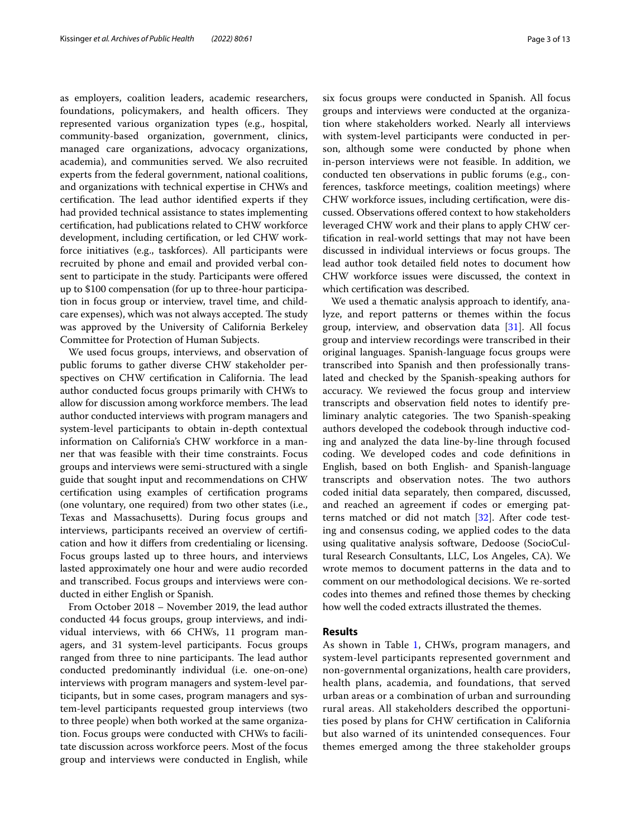as employers, coalition leaders, academic researchers, foundations, policymakers, and health officers. They represented various organization types (e.g., hospital, community-based organization, government, clinics, managed care organizations, advocacy organizations, academia), and communities served. We also recruited experts from the federal government, national coalitions, and organizations with technical expertise in CHWs and certification. The lead author identified experts if they had provided technical assistance to states implementing certifcation, had publications related to CHW workforce development, including certifcation, or led CHW workforce initiatives (e.g., taskforces). All participants were recruited by phone and email and provided verbal consent to participate in the study. Participants were offered up to \$100 compensation (for up to three-hour participation in focus group or interview, travel time, and childcare expenses), which was not always accepted. The study was approved by the University of California Berkeley Committee for Protection of Human Subjects.

We used focus groups, interviews, and observation of public forums to gather diverse CHW stakeholder perspectives on CHW certification in California. The lead author conducted focus groups primarily with CHWs to allow for discussion among workforce members. The lead author conducted interviews with program managers and system-level participants to obtain in-depth contextual information on California's CHW workforce in a manner that was feasible with their time constraints. Focus groups and interviews were semi-structured with a single guide that sought input and recommendations on CHW certifcation using examples of certifcation programs (one voluntary, one required) from two other states (i.e., Texas and Massachusetts). During focus groups and interviews, participants received an overview of certifcation and how it difers from credentialing or licensing. Focus groups lasted up to three hours, and interviews lasted approximately one hour and were audio recorded and transcribed. Focus groups and interviews were conducted in either English or Spanish.

From October 2018 – November 2019, the lead author conducted 44 focus groups, group interviews, and individual interviews, with 66 CHWs, 11 program managers, and 31 system-level participants. Focus groups ranged from three to nine participants. The lead author conducted predominantly individual (i.e. one-on-one) interviews with program managers and system-level participants, but in some cases, program managers and system-level participants requested group interviews (two to three people) when both worked at the same organization. Focus groups were conducted with CHWs to facilitate discussion across workforce peers. Most of the focus group and interviews were conducted in English, while six focus groups were conducted in Spanish. All focus groups and interviews were conducted at the organization where stakeholders worked. Nearly all interviews with system-level participants were conducted in person, although some were conducted by phone when in-person interviews were not feasible. In addition, we conducted ten observations in public forums (e.g., conferences, taskforce meetings, coalition meetings) where CHW workforce issues, including certifcation, were discussed. Observations ofered context to how stakeholders leveraged CHW work and their plans to apply CHW certifcation in real-world settings that may not have been discussed in individual interviews or focus groups. The lead author took detailed feld notes to document how

CHW workforce issues were discussed, the context in

which certifcation was described. We used a thematic analysis approach to identify, analyze, and report patterns or themes within the focus group, interview, and observation data [[31\]](#page-11-6). All focus group and interview recordings were transcribed in their original languages. Spanish-language focus groups were transcribed into Spanish and then professionally translated and checked by the Spanish-speaking authors for accuracy. We reviewed the focus group and interview transcripts and observation feld notes to identify preliminary analytic categories. The two Spanish-speaking authors developed the codebook through inductive coding and analyzed the data line-by-line through focused coding. We developed codes and code defnitions in English, based on both English- and Spanish-language transcripts and observation notes. The two authors coded initial data separately, then compared, discussed, and reached an agreement if codes or emerging patterns matched or did not match [[32](#page-11-7)]. After code testing and consensus coding, we applied codes to the data using qualitative analysis software, Dedoose (SocioCultural Research Consultants, LLC, Los Angeles, CA). We wrote memos to document patterns in the data and to comment on our methodological decisions. We re-sorted codes into themes and refned those themes by checking how well the coded extracts illustrated the themes.

## **Results**

As shown in Table [1](#page-3-0), CHWs, program managers, and system-level participants represented government and non-governmental organizations, health care providers, health plans, academia, and foundations, that served urban areas or a combination of urban and surrounding rural areas. All stakeholders described the opportunities posed by plans for CHW certifcation in California but also warned of its unintended consequences. Four themes emerged among the three stakeholder groups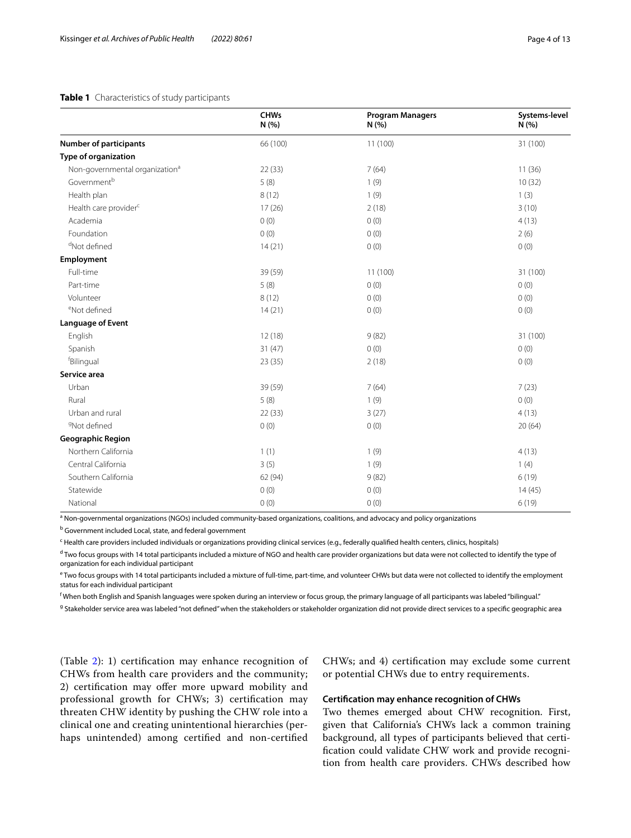## <span id="page-3-0"></span>**Table 1** Characteristics of study participants

|                                            | <b>CHWs</b><br>N (%) | <b>Program Managers</b><br>N (%) | Systems-level<br>N (%) |
|--------------------------------------------|----------------------|----------------------------------|------------------------|
| <b>Number of participants</b>              | 66 (100)             | 11 (100)                         | 31 (100)               |
| Type of organization                       |                      |                                  |                        |
| Non-governmental organization <sup>a</sup> | 22(33)               | 7(64)                            | 11(36)                 |
| Government <sup>b</sup>                    | 5(8)                 | 1(9)                             | 10(32)                 |
| Health plan                                | 8(12)                | 1(9)                             | 1(3)                   |
| Health care provider <sup>c</sup>          | 17(26)               | 2(18)                            | 3(10)                  |
| Academia                                   | 0(0)                 | 0(0)                             | 4(13)                  |
| Foundation                                 | 0(0)                 | 0(0)                             | 2(6)                   |
| <sup>d</sup> Not defined                   | 14(21)               | 0(0)                             | 0(0)                   |
| Employment                                 |                      |                                  |                        |
| Full-time                                  | 39 (59)              | 11(100)                          | 31 (100)               |
| Part-time                                  | 5(8)                 | 0(0)                             | 0(0)                   |
| Volunteer                                  | 8(12)                | 0(0)                             | 0(0)                   |
| <sup>e</sup> Not defined                   | 14(21)               | 0(0)                             | 0(0)                   |
| <b>Language of Event</b>                   |                      |                                  |                        |
| English                                    | 12(18)               | 9(82)                            | 31 (100)               |
| Spanish                                    | 31(47)               | 0(0)                             | 0(0)                   |
| fBilingual                                 | 23(35)               | 2(18)                            | 0(0)                   |
| Service area                               |                      |                                  |                        |
| Urban                                      | 39 (59)              | 7(64)                            | 7(23)                  |
| Rural                                      | 5(8)                 | 1(9)                             | 0(0)                   |
| Urban and rural                            | 22(33)               | 3(27)                            | 4(13)                  |
| <sup>9</sup> Not defined                   | 0(0)                 | 0(0)                             | 20(64)                 |
| <b>Geographic Region</b>                   |                      |                                  |                        |
| Northern California                        | 1(1)                 | 1(9)                             | 4(13)                  |
| Central California                         | 3(5)                 | 1(9)                             | 1(4)                   |
| Southern California                        | 62 (94)              | 9(82)                            | 6(19)                  |
| Statewide                                  | 0(0)                 | 0(0)                             | 14(45)                 |
| National                                   | 0(0)                 | 0(0)                             | 6(19)                  |

<sup>a</sup> Non-governmental organizations (NGOs) included community-based organizations, coalitions, and advocacy and policy organizations

<sup>b</sup> Government included Local, state, and federal government

<sup>c</sup> Health care providers included individuals or organizations providing clinical services (e.g., federally qualified health centers, clinics, hospitals)

<sup>d</sup> Two focus groups with 14 total participants included a mixture of NGO and health care provider organizations but data were not collected to identify the type of organization for each individual participant

 $e^{\epsilon}$ Two focus groups with 14 total participants included a mixture of full-time, part-time, and volunteer CHWs but data were not collected to identify the employment status for each individual participant

f When both English and Spanish languages were spoken during an interview or focus group, the primary language of all participants was labeled "bilingual."

<sup>g</sup> Stakeholder service area was labeled "not defined" when the stakeholders or stakeholder organization did not provide direct services to a specific geographic area

(Table [2](#page-4-0)): 1) certifcation may enhance recognition of CHWs from health care providers and the community; 2) certification may offer more upward mobility and professional growth for CHWs; 3) certifcation may threaten CHW identity by pushing the CHW role into a clinical one and creating unintentional hierarchies (perhaps unintended) among certifed and non-certifed

CHWs; and 4) certifcation may exclude some current or potential CHWs due to entry requirements.

## **Certifcation may enhance recognition of CHWs**

Two themes emerged about CHW recognition. First, given that California's CHWs lack a common training background, all types of participants believed that certifcation could validate CHW work and provide recognition from health care providers. CHWs described how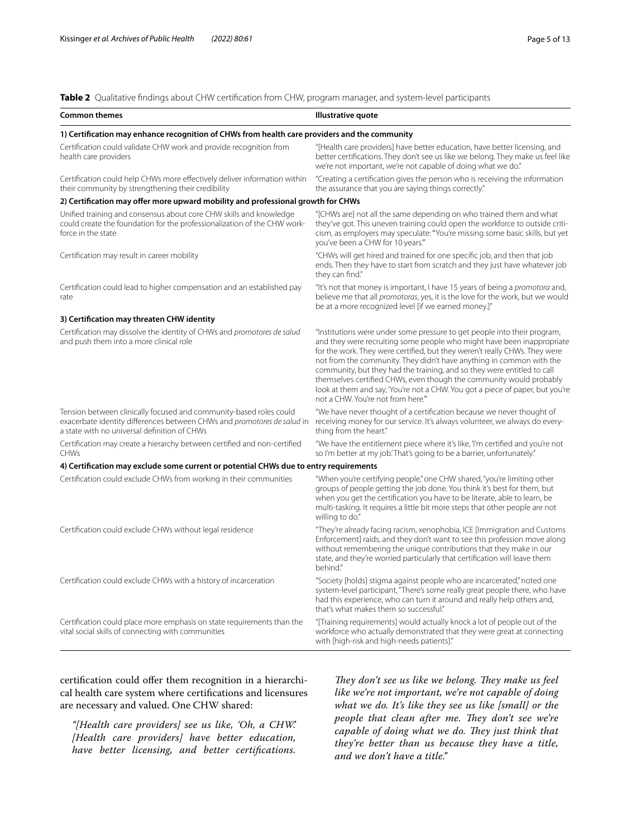<span id="page-4-0"></span>**Table 2** Qualitative fndings about CHW certifcation from CHW, program manager, and system-level participants

| <b>Common themes</b>                                                                                                                                                                          | Illustrative quote                                                                                                                                                                                                                                                                                                                                                                                                                                                                                                                                                               |  |  |
|-----------------------------------------------------------------------------------------------------------------------------------------------------------------------------------------------|----------------------------------------------------------------------------------------------------------------------------------------------------------------------------------------------------------------------------------------------------------------------------------------------------------------------------------------------------------------------------------------------------------------------------------------------------------------------------------------------------------------------------------------------------------------------------------|--|--|
| 1) Certification may enhance recognition of CHWs from health care providers and the community                                                                                                 |                                                                                                                                                                                                                                                                                                                                                                                                                                                                                                                                                                                  |  |  |
| Certification could validate CHW work and provide recognition from<br>health care providers                                                                                                   | "[Health care providers] have better education, have better licensing, and<br>better certifications. They don't see us like we belong. They make us feel like<br>we're not important, we're not capable of doing what we do."                                                                                                                                                                                                                                                                                                                                                    |  |  |
| Certification could help CHWs more effectively deliver information within<br>their community by strengthening their credibility                                                               | "Creating a certification gives the person who is receiving the information<br>the assurance that you are saying things correctly."                                                                                                                                                                                                                                                                                                                                                                                                                                              |  |  |
| 2) Certification may offer more upward mobility and professional growth for CHWs                                                                                                              |                                                                                                                                                                                                                                                                                                                                                                                                                                                                                                                                                                                  |  |  |
| Unified training and consensus about core CHW skills and knowledge<br>could create the foundation for the professionalization of the CHW work-<br>force in the state                          | "[CHWs are] not all the same depending on who trained them and what<br>they've got. This uneven training could open the workforce to outside criti-<br>cism, as employers may speculate: "You're missing some basic skills, but yet<br>you've been a CHW for 10 years."                                                                                                                                                                                                                                                                                                          |  |  |
| Certification may result in career mobility                                                                                                                                                   | "CHWs will get hired and trained for one specific job, and then that job<br>ends. Then they have to start from scratch and they just have whatever job<br>they can find."                                                                                                                                                                                                                                                                                                                                                                                                        |  |  |
| Certification could lead to higher compensation and an established pay<br>rate                                                                                                                | "It's not that money is important, I have 15 years of being a promotora and,<br>believe me that all promotoras, yes, it is the love for the work, but we would<br>be at a more recognized level [if we earned money.]"                                                                                                                                                                                                                                                                                                                                                           |  |  |
| 3) Certification may threaten CHW identity                                                                                                                                                    |                                                                                                                                                                                                                                                                                                                                                                                                                                                                                                                                                                                  |  |  |
| Certification may dissolve the identity of CHWs and promotores de salud<br>and push them into a more clinical role                                                                            | "Institutions were under some pressure to get people into their program,<br>and they were recruiting some people who might have been inappropriate<br>for the work. They were certified, but they weren't really CHWs. They were<br>not from the community. They didn't have anything in common with the<br>community, but they had the training, and so they were entitled to call<br>themselves certified CHWs, even though the community would probably<br>look at them and say, 'You're not a CHW. You got a piece of paper, but you're<br>not a CHW. You're not from here." |  |  |
| Tension between clinically focused and community-based roles could<br>exacerbate identity differences between CHWs and promotores de salud in<br>a state with no universal definition of CHWs | "We have never thought of a certification because we never thought of<br>receiving money for our service. It's always volunteer, we always do every-<br>thing from the heart."                                                                                                                                                                                                                                                                                                                                                                                                   |  |  |
| Certification may create a hierarchy between certified and non-certified<br>CHWs                                                                                                              | "We have the entitlement piece where it's like, 'I'm certified and you're not<br>so I'm better at my job.'That's going to be a barrier, unfortunately."                                                                                                                                                                                                                                                                                                                                                                                                                          |  |  |
| 4) Certification may exclude some current or potential CHWs due to entry requirements                                                                                                         |                                                                                                                                                                                                                                                                                                                                                                                                                                                                                                                                                                                  |  |  |
| Certification could exclude CHWs from working in their communities                                                                                                                            | "When you're certifying people," one CHW shared, "you're limiting other<br>groups of people getting the job done. You think it's best for them, but<br>when you get the certification you have to be literate, able to learn, be<br>multi-tasking. It requires a little bit more steps that other people are not<br>willing to do."                                                                                                                                                                                                                                              |  |  |
| Certification could exclude CHWs without legal residence                                                                                                                                      | "They're already facing racism, xenophobia, ICE [Immigration and Customs<br>Enforcement] raids, and they don't want to see this profession move along<br>without remembering the unique contributions that they make in our<br>state, and they're worried particularly that certification will leave them<br>behind."                                                                                                                                                                                                                                                            |  |  |
| Certification could exclude CHWs with a history of incarceration                                                                                                                              | "Society [holds] stigma against people who are incarcerated," noted one<br>system-level participant, "There's some really great people there, who have<br>had this experience, who can turn it around and really help others and,<br>that's what makes them so successful."                                                                                                                                                                                                                                                                                                      |  |  |
| Certification could place more emphasis on state requirements than the<br>vital social skills of connecting with communities                                                                  | "[Training requirements] would actually knock a lot of people out of the<br>workforce who actually demonstrated that they were great at connecting<br>with [high-risk and high-needs patients]."                                                                                                                                                                                                                                                                                                                                                                                 |  |  |

certification could offer them recognition in a hierarchical health care system where certifcations and licensures are necessary and valued. One CHW shared:

*"[Health care providers] see us like, 'Oh, a CHW.' [Health care providers] have better education, have better licensing, and better certifcations.* 

They don't see us like we belong. They make us feel *like we're not important, we're not capable of doing what we do. It's like they see us like [small] or the people that clean after me. They don't see we're capable of doing what we do. They just think that they're better than us because they have a title, and we don't have a title."*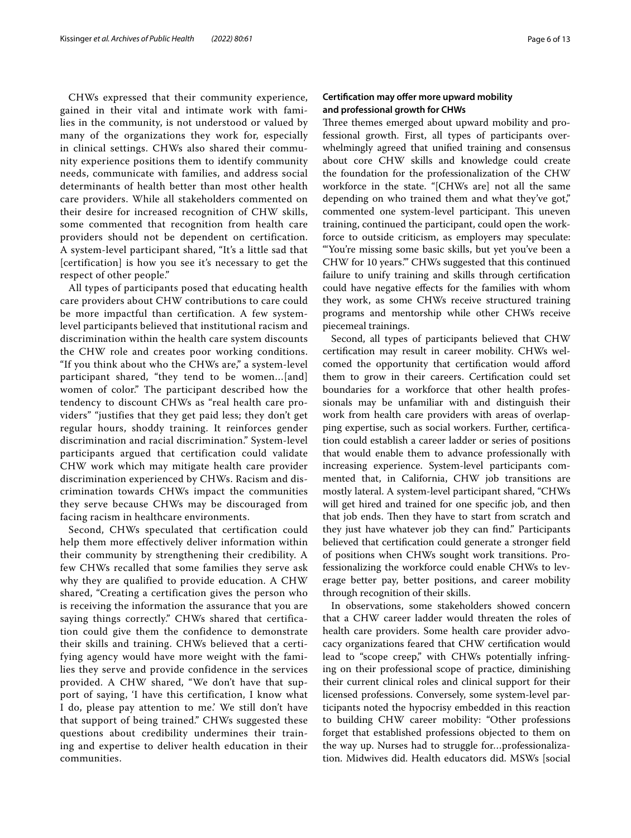CHWs expressed that their community experience, gained in their vital and intimate work with families in the community, is not understood or valued by many of the organizations they work for, especially in clinical settings. CHWs also shared their community experience positions them to identify community needs, communicate with families, and address social determinants of health better than most other health care providers. While all stakeholders commented on their desire for increased recognition of CHW skills, some commented that recognition from health care providers should not be dependent on certification. A system-level participant shared, "It's a little sad that [certification] is how you see it's necessary to get the respect of other people."

All types of participants posed that educating health care providers about CHW contributions to care could be more impactful than certification. A few systemlevel participants believed that institutional racism and discrimination within the health care system discounts the CHW role and creates poor working conditions. "If you think about who the CHWs are," a system-level participant shared, "they tend to be women…[and] women of color." The participant described how the tendency to discount CHWs as "real health care providers" "justifies that they get paid less; they don't get regular hours, shoddy training. It reinforces gender discrimination and racial discrimination." System-level participants argued that certification could validate CHW work which may mitigate health care provider discrimination experienced by CHWs. Racism and discrimination towards CHWs impact the communities they serve because CHWs may be discouraged from facing racism in healthcare environments.

Second, CHWs speculated that certification could help them more effectively deliver information within their community by strengthening their credibility. A few CHWs recalled that some families they serve ask why they are qualified to provide education. A CHW shared, "Creating a certification gives the person who is receiving the information the assurance that you are saying things correctly." CHWs shared that certification could give them the confidence to demonstrate their skills and training. CHWs believed that a certifying agency would have more weight with the families they serve and provide confidence in the services provided. A CHW shared, "We don't have that support of saying, 'I have this certification, I know what I do, please pay attention to me.' We still don't have that support of being trained." CHWs suggested these questions about credibility undermines their training and expertise to deliver health education in their communities.

## **Certifcation may ofer more upward mobility and professional growth for CHWs**

Three themes emerged about upward mobility and professional growth. First, all types of participants overwhelmingly agreed that unifed training and consensus about core CHW skills and knowledge could create the foundation for the professionalization of the CHW workforce in the state. "[CHWs are] not all the same depending on who trained them and what they've got," commented one system-level participant. This uneven training, continued the participant, could open the workforce to outside criticism, as employers may speculate: "'You're missing some basic skills, but yet you've been a CHW for 10 years.'" CHWs suggested that this continued failure to unify training and skills through certifcation could have negative efects for the families with whom they work, as some CHWs receive structured training programs and mentorship while other CHWs receive piecemeal trainings.

Second, all types of participants believed that CHW certifcation may result in career mobility. CHWs welcomed the opportunity that certifcation would aford them to grow in their careers. Certifcation could set boundaries for a workforce that other health professionals may be unfamiliar with and distinguish their work from health care providers with areas of overlapping expertise, such as social workers. Further, certifcation could establish a career ladder or series of positions that would enable them to advance professionally with increasing experience. System-level participants commented that, in California, CHW job transitions are mostly lateral. A system-level participant shared, "CHWs will get hired and trained for one specifc job, and then that job ends. Then they have to start from scratch and they just have whatever job they can fnd." Participants believed that certifcation could generate a stronger feld of positions when CHWs sought work transitions. Professionalizing the workforce could enable CHWs to leverage better pay, better positions, and career mobility through recognition of their skills.

In observations, some stakeholders showed concern that a CHW career ladder would threaten the roles of health care providers. Some health care provider advocacy organizations feared that CHW certifcation would lead to "scope creep," with CHWs potentially infringing on their professional scope of practice, diminishing their current clinical roles and clinical support for their licensed professions. Conversely, some system-level participants noted the hypocrisy embedded in this reaction to building CHW career mobility: "Other professions forget that established professions objected to them on the way up. Nurses had to struggle for…professionalization. Midwives did. Health educators did. MSWs [social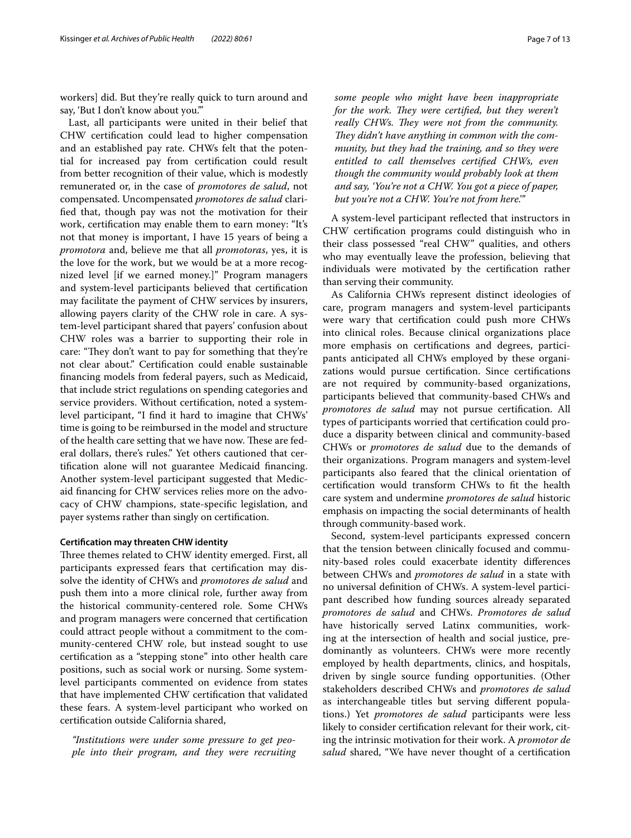workers] did. But they're really quick to turn around and say, 'But I don't know about you.'"

Last, all participants were united in their belief that CHW certifcation could lead to higher compensation and an established pay rate. CHWs felt that the potential for increased pay from certifcation could result from better recognition of their value, which is modestly remunerated or, in the case of *promotores de salud*, not compensated. Uncompensated *promotores de salud* clarifed that, though pay was not the motivation for their work, certifcation may enable them to earn money: "It's not that money is important, I have 15 years of being a *promotora* and, believe me that all *promotoras*, yes, it is the love for the work, but we would be at a more recognized level [if we earned money.]" Program managers and system-level participants believed that certifcation may facilitate the payment of CHW services by insurers, allowing payers clarity of the CHW role in care. A system-level participant shared that payers' confusion about CHW roles was a barrier to supporting their role in care: "They don't want to pay for something that they're not clear about." Certifcation could enable sustainable fnancing models from federal payers, such as Medicaid, that include strict regulations on spending categories and service providers. Without certifcation, noted a systemlevel participant, "I fnd it hard to imagine that CHWs' time is going to be reimbursed in the model and structure of the health care setting that we have now. These are federal dollars, there's rules." Yet others cautioned that certifcation alone will not guarantee Medicaid fnancing. Another system-level participant suggested that Medicaid fnancing for CHW services relies more on the advocacy of CHW champions, state-specifc legislation, and payer systems rather than singly on certifcation.

## **Certifcation may threaten CHW identity**

Three themes related to CHW identity emerged. First, all participants expressed fears that certifcation may dissolve the identity of CHWs and *promotores de salud* and push them into a more clinical role, further away from the historical community-centered role. Some CHWs and program managers were concerned that certifcation could attract people without a commitment to the community-centered CHW role, but instead sought to use certifcation as a "stepping stone" into other health care positions, such as social work or nursing. Some systemlevel participants commented on evidence from states that have implemented CHW certifcation that validated these fears. A system-level participant who worked on certifcation outside California shared,

*"Institutions were under some pressure to get people into their program, and they were recruiting* 

*some people who might have been inappropriate for the work. They were certified, but they weren't really CHWs. They were not from the community. They didn't have anything in common with the community, but they had the training, and so they were entitled to call themselves certifed CHWs, even though the community would probably look at them and say, 'You're not a CHW. You got a piece of paper, but you're not a CHW. You're not from here.'"*

A system-level participant refected that instructors in CHW certifcation programs could distinguish who in their class possessed "real CHW" qualities, and others who may eventually leave the profession, believing that individuals were motivated by the certifcation rather than serving their community.

As California CHWs represent distinct ideologies of care, program managers and system-level participants were wary that certifcation could push more CHWs into clinical roles. Because clinical organizations place more emphasis on certifcations and degrees, participants anticipated all CHWs employed by these organizations would pursue certifcation. Since certifcations are not required by community-based organizations, participants believed that community-based CHWs and *promotores de salud* may not pursue certifcation. All types of participants worried that certifcation could produce a disparity between clinical and community-based CHWs or *promotores de salud* due to the demands of their organizations. Program managers and system-level participants also feared that the clinical orientation of certifcation would transform CHWs to ft the health care system and undermine *promotores de salud* historic emphasis on impacting the social determinants of health through community-based work.

Second, system-level participants expressed concern that the tension between clinically focused and community-based roles could exacerbate identity diferences between CHWs and *promotores de salud* in a state with no universal defnition of CHWs. A system-level participant described how funding sources already separated *promotores de salud* and CHWs. *Promotores de salud* have historically served Latinx communities, working at the intersection of health and social justice, predominantly as volunteers. CHWs were more recently employed by health departments, clinics, and hospitals, driven by single source funding opportunities. (Other stakeholders described CHWs and *promotores de salud* as interchangeable titles but serving diferent populations.) Yet *promotores de salud* participants were less likely to consider certifcation relevant for their work, citing the intrinsic motivation for their work. A *promotor de salud* shared, "We have never thought of a certifcation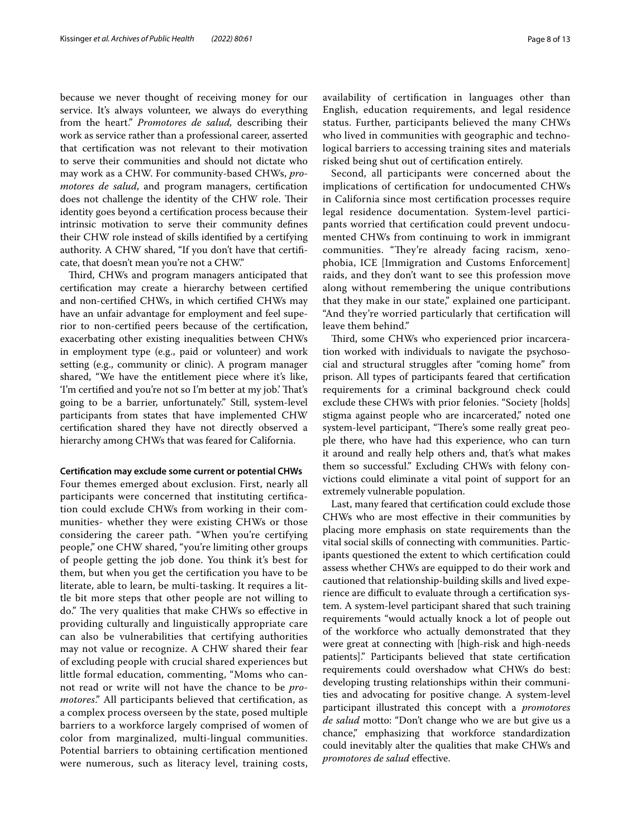because we never thought of receiving money for our service. It's always volunteer, we always do everything from the heart." *Promotores de salud,* describing their work as service rather than a professional career, asserted that certifcation was not relevant to their motivation to serve their communities and should not dictate who may work as a CHW. For community-based CHWs, *promotores de salud*, and program managers, certifcation does not challenge the identity of the CHW role. Their identity goes beyond a certifcation process because their intrinsic motivation to serve their community defnes their CHW role instead of skills identifed by a certifying authority. A CHW shared, "If you don't have that certifcate, that doesn't mean you're not a CHW."

Third, CHWs and program managers anticipated that certifcation may create a hierarchy between certifed and non-certifed CHWs, in which certifed CHWs may have an unfair advantage for employment and feel superior to non-certifed peers because of the certifcation, exacerbating other existing inequalities between CHWs in employment type (e.g., paid or volunteer) and work setting (e.g., community or clinic). A program manager shared, "We have the entitlement piece where it's like, 'I'm certified and you're not so I'm better at my job'. That's going to be a barrier, unfortunately." Still, system-level participants from states that have implemented CHW certifcation shared they have not directly observed a hierarchy among CHWs that was feared for California.

#### **Certifcation may exclude some current or potential CHWs**

Four themes emerged about exclusion. First, nearly all participants were concerned that instituting certifcation could exclude CHWs from working in their communities- whether they were existing CHWs or those considering the career path. "When you're certifying people," one CHW shared, "you're limiting other groups of people getting the job done. You think it's best for them, but when you get the certifcation you have to be literate, able to learn, be multi-tasking. It requires a little bit more steps that other people are not willing to do." The very qualities that make CHWs so effective in providing culturally and linguistically appropriate care can also be vulnerabilities that certifying authorities may not value or recognize. A CHW shared their fear of excluding people with crucial shared experiences but little formal education, commenting, "Moms who cannot read or write will not have the chance to be *promotores*." All participants believed that certifcation, as a complex process overseen by the state, posed multiple barriers to a workforce largely comprised of women of color from marginalized, multi-lingual communities. Potential barriers to obtaining certifcation mentioned were numerous, such as literacy level, training costs, availability of certifcation in languages other than English, education requirements, and legal residence status. Further, participants believed the many CHWs who lived in communities with geographic and technological barriers to accessing training sites and materials risked being shut out of certifcation entirely.

Second, all participants were concerned about the implications of certifcation for undocumented CHWs in California since most certifcation processes require legal residence documentation. System-level participants worried that certifcation could prevent undocumented CHWs from continuing to work in immigrant communities. "They're already facing racism, xenophobia, ICE [Immigration and Customs Enforcement] raids, and they don't want to see this profession move along without remembering the unique contributions that they make in our state," explained one participant. "And they're worried particularly that certifcation will leave them behind."

Third, some CHWs who experienced prior incarceration worked with individuals to navigate the psychosocial and structural struggles after "coming home" from prison. All types of participants feared that certifcation requirements for a criminal background check could exclude these CHWs with prior felonies. "Society [holds] stigma against people who are incarcerated," noted one system-level participant, "There's some really great people there, who have had this experience, who can turn it around and really help others and, that's what makes them so successful." Excluding CHWs with felony convictions could eliminate a vital point of support for an extremely vulnerable population.

Last, many feared that certifcation could exclude those CHWs who are most efective in their communities by placing more emphasis on state requirements than the vital social skills of connecting with communities. Participants questioned the extent to which certifcation could assess whether CHWs are equipped to do their work and cautioned that relationship-building skills and lived experience are difficult to evaluate through a certification system. A system-level participant shared that such training requirements "would actually knock a lot of people out of the workforce who actually demonstrated that they were great at connecting with [high-risk and high-needs patients]." Participants believed that state certifcation requirements could overshadow what CHWs do best: developing trusting relationships within their communities and advocating for positive change. A system-level participant illustrated this concept with a *promotores de salud* motto: "Don't change who we are but give us a chance," emphasizing that workforce standardization could inevitably alter the qualities that make CHWs and *promotores de salud* efective.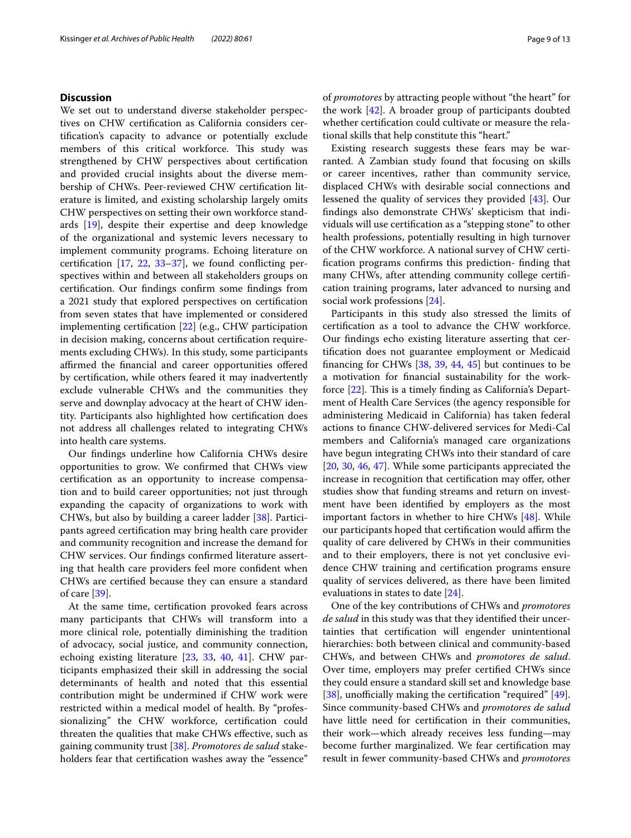## **Discussion**

We set out to understand diverse stakeholder perspectives on CHW certifcation as California considers certifcation's capacity to advance or potentially exclude members of this critical workforce. This study was strengthened by CHW perspectives about certifcation and provided crucial insights about the diverse membership of CHWs. Peer-reviewed CHW certifcation literature is limited, and existing scholarship largely omits CHW perspectives on setting their own workforce standards [[19\]](#page-10-13), despite their expertise and deep knowledge of the organizational and systemic levers necessary to implement community programs. Echoing literature on certifcation [[17](#page-10-12), [22,](#page-10-16) [33](#page-11-8)[–37\]](#page-11-9), we found conficting perspectives within and between all stakeholders groups on certifcation. Our fndings confrm some fndings from a 2021 study that explored perspectives on certifcation from seven states that have implemented or considered implementing certifcation [\[22](#page-10-16)] (e.g., CHW participation in decision making, concerns about certifcation requirements excluding CHWs). In this study, some participants affirmed the financial and career opportunities offered by certifcation, while others feared it may inadvertently exclude vulnerable CHWs and the communities they serve and downplay advocacy at the heart of CHW identity. Participants also highlighted how certifcation does not address all challenges related to integrating CHWs into health care systems.

Our fndings underline how California CHWs desire opportunities to grow. We confrmed that CHWs view certifcation as an opportunity to increase compensation and to build career opportunities; not just through expanding the capacity of organizations to work with CHWs, but also by building a career ladder [[38\]](#page-11-10). Participants agreed certifcation may bring health care provider and community recognition and increase the demand for CHW services. Our fndings confrmed literature asserting that health care providers feel more confdent when CHWs are certifed because they can ensure a standard of care [[39\]](#page-11-11).

At the same time, certifcation provoked fears across many participants that CHWs will transform into a more clinical role, potentially diminishing the tradition of advocacy, social justice, and community connection, echoing existing literature [\[23,](#page-11-0) [33](#page-11-8), [40](#page-11-12), [41\]](#page-11-13). CHW participants emphasized their skill in addressing the social determinants of health and noted that this essential contribution might be undermined if CHW work were restricted within a medical model of health. By "professionalizing" the CHW workforce, certifcation could threaten the qualities that make CHWs efective, such as gaining community trust [[38](#page-11-10)]. *Promotores de salud* stakeholders fear that certifcation washes away the "essence"

of *promotores* by attracting people without "the heart" for the work [\[42](#page-11-14)]. A broader group of participants doubted whether certifcation could cultivate or measure the relational skills that help constitute this "heart."

Existing research suggests these fears may be warranted. A Zambian study found that focusing on skills or career incentives, rather than community service, displaced CHWs with desirable social connections and lessened the quality of services they provided [[43\]](#page-11-15). Our fndings also demonstrate CHWs' skepticism that individuals will use certifcation as a "stepping stone" to other health professions, potentially resulting in high turnover of the CHW workforce. A national survey of CHW certifcation programs confrms this prediction- fnding that many CHWs, after attending community college certifcation training programs, later advanced to nursing and social work professions [[24\]](#page-11-1).

Participants in this study also stressed the limits of certifcation as a tool to advance the CHW workforce. Our fndings echo existing literature asserting that certifcation does not guarantee employment or Medicaid fnancing for CHWs [\[38,](#page-11-10) [39](#page-11-11), [44,](#page-11-16) [45\]](#page-11-17) but continues to be a motivation for fnancial sustainability for the workforce  $[22]$  $[22]$ . This is a timely finding as California's Department of Health Care Services (the agency responsible for administering Medicaid in California) has taken federal actions to fnance CHW-delivered services for Medi-Cal members and California's managed care organizations have begun integrating CHWs into their standard of care [[20,](#page-10-14) [30,](#page-11-5) [46,](#page-11-18) [47](#page-11-19)]. While some participants appreciated the increase in recognition that certification may offer, other studies show that funding streams and return on investment have been identifed by employers as the most important factors in whether to hire CHWs [[48\]](#page-11-20). While our participants hoped that certification would affirm the quality of care delivered by CHWs in their communities and to their employers, there is not yet conclusive evidence CHW training and certifcation programs ensure quality of services delivered, as there have been limited evaluations in states to date [[24](#page-11-1)].

One of the key contributions of CHWs and *promotores de salud* in this study was that they identifed their uncertainties that certifcation will engender unintentional hierarchies: both between clinical and community-based CHWs, and between CHWs and *promotores de salud*. Over time, employers may prefer certifed CHWs since they could ensure a standard skill set and knowledge base [[38\]](#page-11-10), unofficially making the certification "required"  $[49]$  $[49]$ . Since community-based CHWs and *promotores de salud* have little need for certifcation in their communities, their work—which already receives less funding—may become further marginalized. We fear certifcation may result in fewer community-based CHWs and *promotores*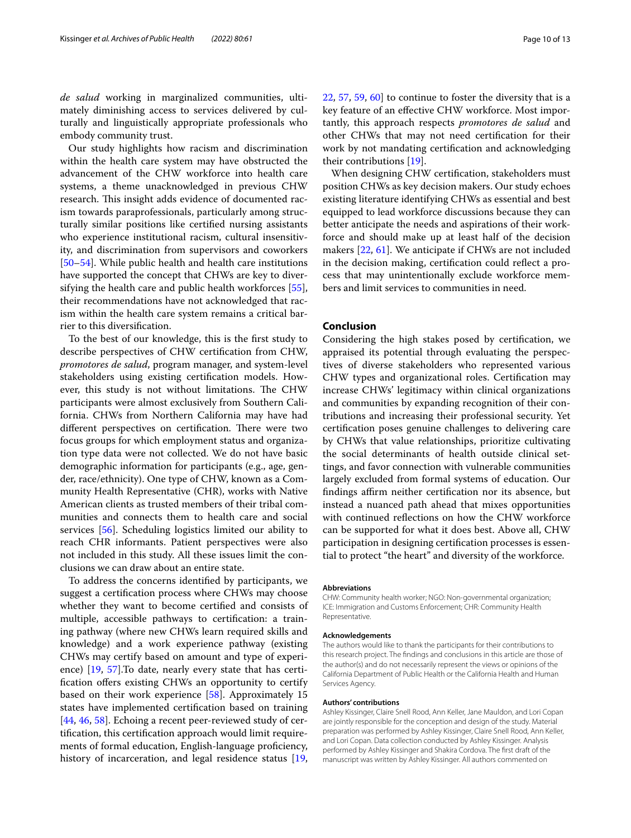*de salud* working in marginalized communities, ultimately diminishing access to services delivered by culturally and linguistically appropriate professionals who embody community trust.

Our study highlights how racism and discrimination within the health care system may have obstructed the advancement of the CHW workforce into health care systems, a theme unacknowledged in previous CHW research. This insight adds evidence of documented racism towards paraprofessionals, particularly among structurally similar positions like certifed nursing assistants who experience institutional racism, cultural insensitivity, and discrimination from supervisors and coworkers [[50–](#page-11-22)[54](#page-11-23)]. While public health and health care institutions have supported the concept that CHWs are key to diversifying the health care and public health workforces [\[55](#page-11-24)], their recommendations have not acknowledged that racism within the health care system remains a critical barrier to this diversifcation.

To the best of our knowledge, this is the frst study to describe perspectives of CHW certifcation from CHW, *promotores de salud*, program manager, and system-level stakeholders using existing certifcation models. However, this study is not without limitations. The CHW participants were almost exclusively from Southern California. CHWs from Northern California may have had different perspectives on certification. There were two focus groups for which employment status and organization type data were not collected. We do not have basic demographic information for participants (e.g., age, gender, race/ethnicity). One type of CHW, known as a Community Health Representative (CHR), works with Native American clients as trusted members of their tribal communities and connects them to health care and social services [\[56](#page-11-25)]. Scheduling logistics limited our ability to reach CHR informants. Patient perspectives were also not included in this study. All these issues limit the conclusions we can draw about an entire state.

To address the concerns identifed by participants, we suggest a certifcation process where CHWs may choose whether they want to become certifed and consists of multiple, accessible pathways to certifcation: a training pathway (where new CHWs learn required skills and knowledge) and a work experience pathway (existing CHWs may certify based on amount and type of experience) [\[19](#page-10-13), [57](#page-11-26)].To date, nearly every state that has certification offers existing CHWs an opportunity to certify based on their work experience [\[58](#page-11-27)]. Approximately 15 states have implemented certifcation based on training [[44,](#page-11-16) [46](#page-11-18), [58](#page-11-27)]. Echoing a recent peer-reviewed study of certifcation, this certifcation approach would limit requirements of formal education, English-language proficiency, history of incarceration, and legal residence status [\[19](#page-10-13),

[22,](#page-10-16) [57](#page-11-26), [59](#page-12-0), [60](#page-12-1)] to continue to foster the diversity that is a key feature of an efective CHW workforce. Most importantly, this approach respects *promotores de salud* and other CHWs that may not need certifcation for their work by not mandating certifcation and acknowledging their contributions [\[19](#page-10-13)].

When designing CHW certifcation, stakeholders must position CHWs as key decision makers. Our study echoes existing literature identifying CHWs as essential and best equipped to lead workforce discussions because they can better anticipate the needs and aspirations of their workforce and should make up at least half of the decision makers [\[22](#page-10-16), [61\]](#page-12-2). We anticipate if CHWs are not included in the decision making, certifcation could refect a process that may unintentionally exclude workforce members and limit services to communities in need.

## **Conclusion**

Considering the high stakes posed by certifcation, we appraised its potential through evaluating the perspectives of diverse stakeholders who represented various CHW types and organizational roles. Certifcation may increase CHWs' legitimacy within clinical organizations and communities by expanding recognition of their contributions and increasing their professional security. Yet certifcation poses genuine challenges to delivering care by CHWs that value relationships, prioritize cultivating the social determinants of health outside clinical settings, and favor connection with vulnerable communities largely excluded from formal systems of education. Our findings affirm neither certification nor its absence, but instead a nuanced path ahead that mixes opportunities with continued refections on how the CHW workforce can be supported for what it does best. Above all, CHW participation in designing certifcation processes is essential to protect "the heart" and diversity of the workforce.

#### **Abbreviations**

CHW: Community health worker; NGO: Non-governmental organization; ICE: Immigration and Customs Enforcement; CHR: Community Health Representative.

#### **Acknowledgements**

The authors would like to thank the participants for their contributions to this research project. The fndings and conclusions in this article are those of the author(s) and do not necessarily represent the views or opinions of the California Department of Public Health or the California Health and Human Services Agency.

#### **Authors' contributions**

Ashley Kissinger, Claire Snell Rood, Ann Keller, Jane Mauldon, and Lori Copan are jointly responsible for the conception and design of the study. Material preparation was performed by Ashley Kissinger, Claire Snell Rood, Ann Keller, and Lori Copan. Data collection conducted by Ashley Kissinger. Analysis performed by Ashley Kissinger and Shakira Cordova. The frst draft of the manuscript was written by Ashley Kissinger. All authors commented on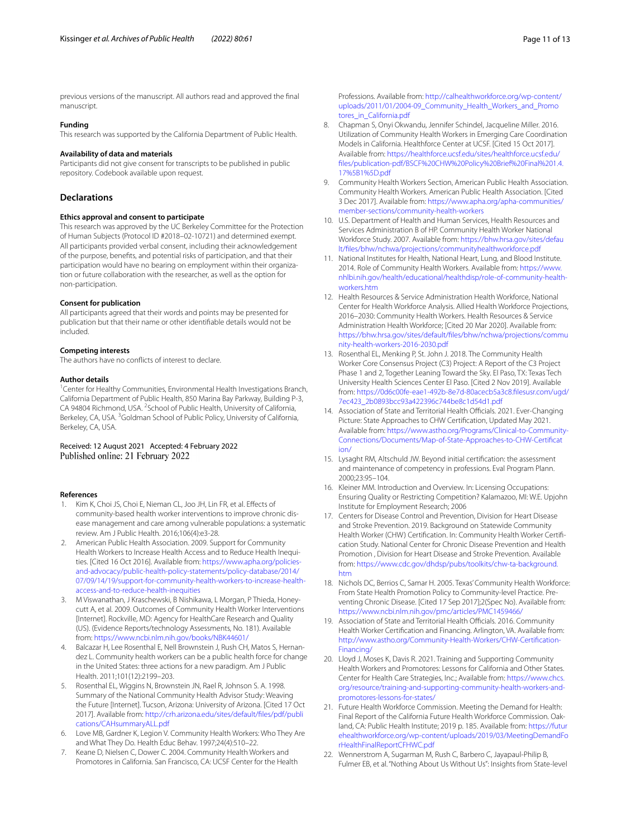previous versions of the manuscript. All authors read and approved the fnal manuscript.

### **Funding**

This research was supported by the California Department of Public Health.

#### **Availability of data and materials**

Participants did not give consent for transcripts to be published in public repository. Codebook available upon request.

#### **Declarations**

#### **Ethics approval and consent to participate**

This research was approved by the UC Berkeley Committee for the Protection of Human Subjects (Protocol ID #2018–02-10721) and determined exempt. All participants provided verbal consent, including their acknowledgement of the purpose, benefts, and potential risks of participation, and that their participation would have no bearing on employment within their organization or future collaboration with the researcher, as well as the option for non-participation.

#### **Consent for publication**

All participants agreed that their words and points may be presented for publication but that their name or other identifable details would not be included.

#### **Competing interests**

The authors have no conficts of interest to declare.

#### **Author details**

<sup>1</sup> Center for Healthy Communities, Environmental Health Investigations Branch, California Department of Public Health, 850 Marina Bay Parkway, Building P-3, CA 94804 Richmond, USA. <sup>2</sup> School of Public Health, University of California, Berkeley, CA, USA. <sup>3</sup> Goldman School of Public Policy, University of California, Berkeley, CA, USA.

Received: 12 August 2021 Accepted: 4 February 2022

#### **References**

- <span id="page-10-0"></span>1. Kim K, Choi JS, Choi E, Nieman CL, Joo JH, Lin FR, et al. Efects of community-based health worker interventions to improve chronic disease management and care among vulnerable populations: a systematic review. Am J Public Health. 2016;106(4):e3-28.
- 2. American Public Health Association. 2009. Support for Community Health Workers to Increase Health Access and to Reduce Health Inequities. [Cited 16 Oct 2016]. Available from: [https://www.apha.org/policies](https://www.apha.org/policies-and-advocacy/public-health-policy-statements/policy-database/2014/07/09/14/19/support-for-community-health-workers-to-increase-health-access-and-to-reduce-health-inequities)[and-advocacy/public-health-policy-statements/policy-database/2014/](https://www.apha.org/policies-and-advocacy/public-health-policy-statements/policy-database/2014/07/09/14/19/support-for-community-health-workers-to-increase-health-access-and-to-reduce-health-inequities) [07/09/14/19/support-for-community-health-workers-to-increase-health](https://www.apha.org/policies-and-advocacy/public-health-policy-statements/policy-database/2014/07/09/14/19/support-for-community-health-workers-to-increase-health-access-and-to-reduce-health-inequities)[access-and-to-reduce-health-inequities](https://www.apha.org/policies-and-advocacy/public-health-policy-statements/policy-database/2014/07/09/14/19/support-for-community-health-workers-to-increase-health-access-and-to-reduce-health-inequities)
- 3. M Viswanathan, J Kraschewski, B Nishikawa, L Morgan, P Thieda, Honeycutt A, et al. 2009. Outcomes of Community Health Worker Interventions [Internet]. Rockville, MD: Agency for HealthCare Research and Quality (US). (Evidence Reports/technology Assessments, No. 181). Available from: <https://www.ncbi.nlm.nih.gov/books/NBK44601/>
- 4. Balcazar H, Lee Rosenthal E, Nell Brownstein J, Rush CH, Matos S, Hernandez L. Community health workers can be a public health force for change in the United States: three actions for a new paradigm. Am J Public Health. 2011;101(12):2199–203.
- 5. Rosenthal EL, Wiggins N, Brownstein JN, Rael R, Johnson S. A. 1998. Summary of the National Community Health Advisor Study: Weaving the Future [Internet]. Tucson, Arizona: University of Arizona. [Cited 17 Oct 2017]. Available from: [http://crh.arizona.edu/sites/default/fles/pdf/publi](http://crh.arizona.edu/sites/default/files/pdf/publications/CAHsummaryALL.pdf) [cations/CAHsummaryALL.pdf](http://crh.arizona.edu/sites/default/files/pdf/publications/CAHsummaryALL.pdf)
- <span id="page-10-1"></span>6. Love MB, Gardner K, Legion V. Community Health Workers: Who They Are and What They Do. Health Educ Behav. 1997;24(4):510–22.
- <span id="page-10-2"></span>7. Keane D, Nielsen C, Dower C. 2004. Community Health Workers and Promotores in California. San Francisco, CA: UCSF Center for the Health

Professions. Available from: [http://calhealthworkforce.org/wp-content/](http://calhealthworkforce.org/wp-content/uploads/2011/01/2004-09_Community_Health_Workers_and_Promotores_in_California.pdf) [uploads/2011/01/2004-09\\_Community\\_Health\\_Workers\\_and\\_Promo](http://calhealthworkforce.org/wp-content/uploads/2011/01/2004-09_Community_Health_Workers_and_Promotores_in_California.pdf) [tores\\_in\\_California.pdf](http://calhealthworkforce.org/wp-content/uploads/2011/01/2004-09_Community_Health_Workers_and_Promotores_in_California.pdf)

- <span id="page-10-3"></span>8. Chapman S, Onyi Okwandu, Jennifer Schindel, Jacqueline Miller. 2016. Utilization of Community Health Workers in Emerging Care Coordination Models in California. Healthforce Center at UCSF. [Cited 15 Oct 2017]. Available from: [https://healthforce.ucsf.edu/sites/healthforce.ucsf.edu/](https://healthforce.ucsf.edu/sites/healthforce.ucsf.edu/files/publication-pdf/BSCF%20CHW%20Policy%20Brief%20Final%201.4.17%5B1%5D.pdf) [fles/publication-pdf/BSCF%20CHW%20Policy%20Brief%20Final%201.4.](https://healthforce.ucsf.edu/sites/healthforce.ucsf.edu/files/publication-pdf/BSCF%20CHW%20Policy%20Brief%20Final%201.4.17%5B1%5D.pdf) [17%5B1%5D.pdf](https://healthforce.ucsf.edu/sites/healthforce.ucsf.edu/files/publication-pdf/BSCF%20CHW%20Policy%20Brief%20Final%201.4.17%5B1%5D.pdf)
- <span id="page-10-4"></span>9. Community Health Workers Section, American Public Health Association. Community Health Workers. American Public Health Association. [Cited 3 Dec 2017]. Available from: [https://www.apha.org/apha-communities/](https://www.apha.org/apha-communities/member-sections/community-health-workers) [member-sections/community-health-workers](https://www.apha.org/apha-communities/member-sections/community-health-workers)
- <span id="page-10-5"></span>10. U.S. Department of Health and Human Services, Health Resources and Services Administration B of HP. Community Health Worker National Workforce Study. 2007. Available from: [https://bhw.hrsa.gov/sites/defau](https://bhw.hrsa.gov/sites/default/files/bhw/nchwa/projections/communityhealthworkforce.pdf) [lt/fles/bhw/nchwa/projections/communityhealthworkforce.pdf](https://bhw.hrsa.gov/sites/default/files/bhw/nchwa/projections/communityhealthworkforce.pdf)
- <span id="page-10-6"></span>11. National Institutes for Health, National Heart, Lung, and Blood Institute. 2014. Role of Community Health Workers. Available from: [https://www.](https://www.nhlbi.nih.gov/health/educational/healthdisp/role-of-community-health-workers.htm) [nhlbi.nih.gov/health/educational/healthdisp/role-of-community-health](https://www.nhlbi.nih.gov/health/educational/healthdisp/role-of-community-health-workers.htm)[workers.htm](https://www.nhlbi.nih.gov/health/educational/healthdisp/role-of-community-health-workers.htm)
- <span id="page-10-7"></span>12. Health Resources & Service Administration Health Workforce, National Center for Health Workforce Analysis. Allied Health Workforce Projections, 2016–2030: Community Health Workers. Health Resources & Service Administration Health Workforce; [Cited 20 Mar 2020]. Available from: [https://bhw.hrsa.gov/sites/default/fles/bhw/nchwa/projections/commu](https://bhw.hrsa.gov/sites/default/files/bhw/nchwa/projections/community-health-workers-2016-2030.pdf) [nity-health-workers-2016-2030.pdf](https://bhw.hrsa.gov/sites/default/files/bhw/nchwa/projections/community-health-workers-2016-2030.pdf)
- <span id="page-10-8"></span>13. Rosenthal EL, Menking P, St. John J. 2018. The Community Health Worker Core Consensus Project (C3) Project: A Report of the C3 Project Phase 1 and 2, Together Leaning Toward the Sky. El Paso, TX: Texas Tech University Health Sciences Center El Paso. [Cited 2 Nov 2019]. Available from: [https://0d6c00fe-eae1-492b-8e7d-80acecb5a3c8.flesusr.com/ugd/](https://0d6c00fe-eae1-492b-8e7d-80acecb5a3c8.filesusr.com/ugd/7ec423_2b0893bcc93a422396c744be8c1d54d1.pdf) [7ec423\\_2b0893bcc93a422396c744be8c1d54d1.pdf](https://0d6c00fe-eae1-492b-8e7d-80acecb5a3c8.filesusr.com/ugd/7ec423_2b0893bcc93a422396c744be8c1d54d1.pdf)
- <span id="page-10-9"></span>14. Association of State and Territorial Health Officials. 2021. Ever-Changing Picture: State Approaches to CHW Certifcation, Updated May 2021. Available from: [https://www.astho.org/Programs/Clinical-to-Community-](https://www.astho.org/Programs/Clinical-to-Community-Connections/Documents/Map-of-State-Approaches-to-CHW-Certification/)[Connections/Documents/Map-of-State-Approaches-to-CHW-Certifcat](https://www.astho.org/Programs/Clinical-to-Community-Connections/Documents/Map-of-State-Approaches-to-CHW-Certification/) [ion/](https://www.astho.org/Programs/Clinical-to-Community-Connections/Documents/Map-of-State-Approaches-to-CHW-Certification/)
- <span id="page-10-10"></span>15. Lysaght RM, Altschuld JW. Beyond initial certifcation: the assessment and maintenance of competency in professions. Eval Program Plann. 2000;23:95–104.
- 16. Kleiner MM. Introduction and Overview. In: Licensing Occupations: Ensuring Quality or Restricting Competition? Kalamazoo, MI: W.E. Upjohn Institute for Employment Research; 2006
- <span id="page-10-12"></span>17. Centers for Disease Control and Prevention, Division for Heart Disease and Stroke Prevention. 2019. Background on Statewide Community Health Worker (CHW) Certifcation. In: Community Health Worker Certifcation Study. National Center for Chronic Disease Prevention and Health Promotion , Division for Heart Disease and Stroke Prevention. Available from: [https://www.cdc.gov/dhdsp/pubs/toolkits/chw-ta-background.](https://www.cdc.gov/dhdsp/pubs/toolkits/chw-ta-background.htm) [htm](https://www.cdc.gov/dhdsp/pubs/toolkits/chw-ta-background.htm)
- <span id="page-10-11"></span>18. Nichols DC, Berrios C, Samar H. 2005. Texas' Community Health Workforce: From State Health Promotion Policy to Community-level Practice. Preventing Chronic Disease. [Cited 17 Sep 2017];2(Spec No). Available from: <https://www.ncbi.nlm.nih.gov/pmc/articles/PMC1459466/>
- <span id="page-10-13"></span>19. Association of State and Territorial Health Officials. 2016. Community Health Worker Certifcation and Financing. Arlington, VA. Available from: [http://www.astho.org/Community-Health-Workers/CHW-Certifcation-](http://www.astho.org/Community-Health-Workers/CHW-Certification-Financing/)[Financing/](http://www.astho.org/Community-Health-Workers/CHW-Certification-Financing/)
- <span id="page-10-14"></span>20. Lloyd J, Moses K, Davis R. 2021. Training and Supporting Community Health Workers and Promotores: Lessons for California and Other States. Center for Health Care Strategies, Inc.; Available from: [https://www.chcs.](https://www.chcs.org/resource/training-and-supporting-community-health-workers-and-promotores-lessons-for-states/) [org/resource/training-and-supporting-community-health-workers-and](https://www.chcs.org/resource/training-and-supporting-community-health-workers-and-promotores-lessons-for-states/)[promotores-lessons-for-states/](https://www.chcs.org/resource/training-and-supporting-community-health-workers-and-promotores-lessons-for-states/)
- <span id="page-10-15"></span>21. Future Health Workforce Commission. Meeting the Demand for Health: Final Report of the California Future Health Workforce Commission. Oakland, CA: Public Health Institute; 2019 p. 185. Available from: [https://futur](https://futurehealthworkforce.org/wp-content/uploads/2019/03/MeetingDemandForHealthFinalReportCFHWC.pdf) [ehealthworkforce.org/wp-content/uploads/2019/03/MeetingDemandFo](https://futurehealthworkforce.org/wp-content/uploads/2019/03/MeetingDemandForHealthFinalReportCFHWC.pdf) [rHealthFinalReportCFHWC.pdf](https://futurehealthworkforce.org/wp-content/uploads/2019/03/MeetingDemandForHealthFinalReportCFHWC.pdf)
- <span id="page-10-16"></span>22. Wennerstrom A, Sugarman M, Rush C, Barbero C, Jayapaul-Philip B, Fulmer EB, et al. "Nothing About Us Without Us": Insights from State-level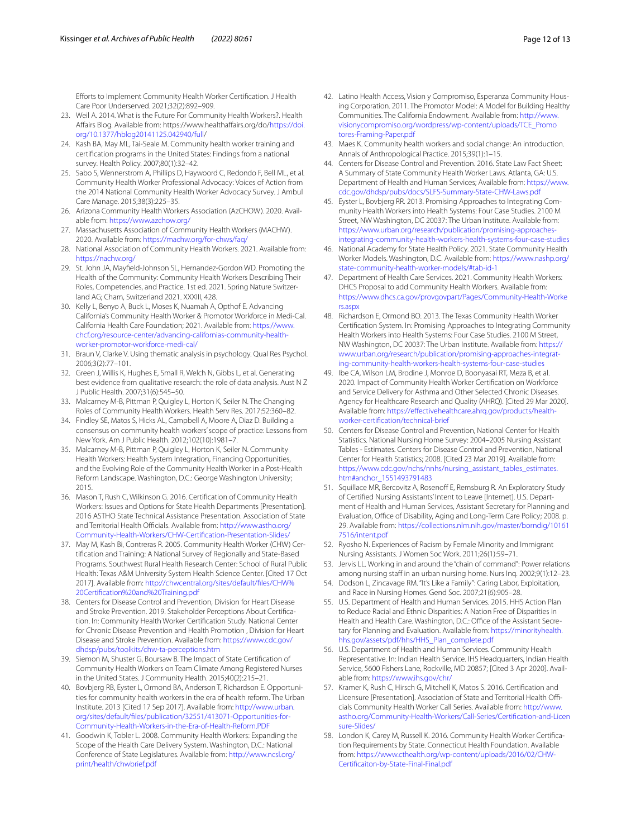Eforts to Implement Community Health Worker Certifcation. J Health Care Poor Underserved. 2021;32(2):892–909.

- <span id="page-11-0"></span>23. Weil A. 2014. What is the Future For Community Health Workers?. Health Afairs Blog. Available from: https://www.healthafairs.org/do/[https://doi.](https://doi.org/10.1377/hblog20141125.042940/full) [org/10.1377/hblog20141125.042940/full/](https://doi.org/10.1377/hblog20141125.042940/full)
- <span id="page-11-1"></span>24. Kash BA, May ML, Tai-Seale M. Community health worker training and certifcation programs in the United States: Findings from a national survey. Health Policy. 2007;80(1):32–42.
- <span id="page-11-2"></span>25. Sabo S, Wennerstrom A, Phillips D, Haywoord C, Redondo F, Bell ML, et al. Community Health Worker Professional Advocacy: Voices of Action from the 2014 National Community Health Worker Advocacy Survey. J Ambul Care Manage. 2015;38(3):225–35.
- <span id="page-11-3"></span>26. Arizona Community Health Workers Association (AzCHOW). 2020. Available from:<https://www.azchow.org/>
- 27. Massachusetts Association of Community Health Workers (MACHW). 2020. Available from:<https://machw.org/for-chws/faq/>
- 28. National Association of Community Health Workers. 2021. Available from: <https://nachw.org/>
- <span id="page-11-4"></span>29. St. John JA, Mayfeld-Johnson SL, Hernandez-Gordon WD. Promoting the Health of the Community: Community Health Workers Describing Their Roles, Competencies, and Practice. 1st ed. 2021. Spring Nature Switzerland AG; Cham, Switzerland 2021. XXXIII, 428.
- <span id="page-11-5"></span>30. Kelly L, Benyo A, Buck L, Moses K, Nuamah A, Opthof E. Advancing California's Community Health Worker & Promotor Workforce in Medi-Cal. California Health Care Foundation; 2021. Available from: [https://www.](https://www.chcf.org/resource-center/advancing-californias-community-health-worker-promotor-workforce-medi-cal/) [chcf.org/resource-center/advancing-californias-community-health](https://www.chcf.org/resource-center/advancing-californias-community-health-worker-promotor-workforce-medi-cal/)[worker-promotor-workforce-medi-cal/](https://www.chcf.org/resource-center/advancing-californias-community-health-worker-promotor-workforce-medi-cal/)
- <span id="page-11-6"></span>31. Braun V, Clarke V. Using thematic analysis in psychology. Qual Res Psychol. 2006;3(2):77–101.
- <span id="page-11-7"></span>32. Green J, Willis K, Hughes E, Small R, Welch N, Gibbs L, et al. Generating best evidence from qualitative research: the role of data analysis. Aust N Z J Public Health. 2007;31(6):545–50.
- <span id="page-11-8"></span>33. Malcarney M-B, Pittman P, Quigley L, Horton K, Seiler N. The Changing Roles of Community Health Workers. Health Serv Res. 2017;52:360–82.
- 34. Findley SE, Matos S, Hicks AL, Campbell A, Moore A, Diaz D. Building a consensus on community health workers' scope of practice: Lessons from New York. Am J Public Health. 2012;102(10):1981–7.
- 35. Malcarney M-B, Pittman P, Quigley L, Horton K, Seiler N. Community Health Workers: Health System Integration, Financing Opportunities, and the Evolving Role of the Community Health Worker in a Post-Health Reform Landscape. Washington, D.C.: George Washington University; 2015.
- 36. Mason T, Rush C, Wilkinson G. 2016. Certifcation of Community Health Workers: Issues and Options for State Health Departments [Presentation]. 2016 ASTHO State Technical Assistance Presentation. Association of State and Territorial Health Officials. Available from: [http://www.astho.org/](http://www.astho.org/Community-Health-Workers/CHW-Certification-Presentation-Slides/) [Community-Health-Workers/CHW-Certifcation-Presentation-Slides/](http://www.astho.org/Community-Health-Workers/CHW-Certification-Presentation-Slides/)
- <span id="page-11-9"></span>37. May M, Kash Bi, Contreras R. 2005. Community Health Worker (CHW) Certifcation and Training: A National Survey of Regionally and State-Based Programs. Southwest Rural Health Research Center: School of Rural Public Health: Texas A&M University System Health Science Center. [Cited 17 Oct 2017]. Available from: [http://chwcentral.org/sites/default/fles/CHW%](http://chwcentral.org/sites/default/files/CHW%20Certification%20and%20Training.pdf) [20Certifcation%20and%20Training.pdf](http://chwcentral.org/sites/default/files/CHW%20Certification%20and%20Training.pdf)
- <span id="page-11-10"></span>38. Centers for Disease Control and Prevention, Division for Heart Disease and Stroke Prevention. 2019. Stakeholder Perceptions About Certifcation. In: Community Health Worker Certifcation Study. National Center for Chronic Disease Prevention and Health Promotion , Division for Heart Disease and Stroke Prevention. Available from: [https://www.cdc.gov/](https://www.cdc.gov/dhdsp/pubs/toolkits/chw-ta-perceptions.htm) [dhdsp/pubs/toolkits/chw-ta-perceptions.htm](https://www.cdc.gov/dhdsp/pubs/toolkits/chw-ta-perceptions.htm)
- <span id="page-11-11"></span>39. Siemon M, Shuster G, Boursaw B. The Impact of State Certifcation of Community Health Workers on Team Climate Among Registered Nurses in the United States. J Community Health. 2015;40(2):215–21.
- <span id="page-11-12"></span>40. Bovbjerg RB, Eyster L, Ormond BA, Anderson T, Richardson E. Opportunities for community health workers in the era of health reform. The Urban Institute. 2013 [Cited 17 Sep 2017]. Available from: [http://www.urban.](http://www.urban.org/sites/default/files/publication/32551/413071-Opportunities-for-Community-Health-Workers-in-the-Era-of-Health-Reform.PDF) [org/sites/default/fles/publication/32551/413071-Opportunities-for-](http://www.urban.org/sites/default/files/publication/32551/413071-Opportunities-for-Community-Health-Workers-in-the-Era-of-Health-Reform.PDF)[Community-Health-Workers-in-the-Era-of-Health-Reform.PDF](http://www.urban.org/sites/default/files/publication/32551/413071-Opportunities-for-Community-Health-Workers-in-the-Era-of-Health-Reform.PDF)
- <span id="page-11-13"></span>41. Goodwin K, Tobler L. 2008. Community Health Workers: Expanding the Scope of the Health Care Delivery System. Washington, D.C.: National Conference of State Legislatures. Available from: [http://www.ncsl.org/](http://www.ncsl.org/print/health/chwbrief.pdf) [print/health/chwbrief.pdf](http://www.ncsl.org/print/health/chwbrief.pdf)
- <span id="page-11-14"></span>42. Latino Health Access, Vision y Compromiso, Esperanza Community Housing Corporation. 2011. The Promotor Model: A Model for Building Healthy Communities. The California Endowment. Available from: [http://www.](http://www.visionycompromiso.org/wordpress/wp-content/uploads/TCE_Promotores-Framing-Paper.pdf) [visionycompromiso.org/wordpress/wp-content/uploads/TCE\\_Promo](http://www.visionycompromiso.org/wordpress/wp-content/uploads/TCE_Promotores-Framing-Paper.pdf) [tores-Framing-Paper.pdf](http://www.visionycompromiso.org/wordpress/wp-content/uploads/TCE_Promotores-Framing-Paper.pdf)
- <span id="page-11-15"></span>43. Maes K. Community health workers and social change: An introduction. Annals of Anthropological Practice. 2015;39(1):1–15.
- <span id="page-11-16"></span>44. Centers for Disease Control and Prevention. 2016. State Law Fact Sheet: A Summary of State Community Health Worker Laws. Atlanta, GA: U.S. Department of Health and Human Services; Available from: [https://www.](https://www.cdc.gov/dhdsp/pubs/docs/SLFS-Summary-State-CHW-Laws.pdf) [cdc.gov/dhdsp/pubs/docs/SLFS-Summary-State-CHW-Laws.pdf](https://www.cdc.gov/dhdsp/pubs/docs/SLFS-Summary-State-CHW-Laws.pdf)
- <span id="page-11-17"></span>45. Eyster L, Bovbjerg RR. 2013. Promising Approaches to Integrating Community Health Workers into Health Systems: Four Case Studies. 2100 M Street, NW Washington, DC 20037: The Urban Institute. Available from: [https://www.urban.org/research/publication/promising-approaches](https://www.urban.org/research/publication/promising-approaches-integrating-community-health-workers-health-systems-four-case-studies)[integrating-community-health-workers-health-systems-four-case-studies](https://www.urban.org/research/publication/promising-approaches-integrating-community-health-workers-health-systems-four-case-studies)
- <span id="page-11-18"></span>46. National Academy for State Health Policy. 2021. State Community Health Worker Models. Washington, D.C. Available from: [https://www.nashp.org/](https://www.nashp.org/state-community-health-worker-models/#tab-id-1) [state-community-health-worker-models/#tab-id-1](https://www.nashp.org/state-community-health-worker-models/#tab-id-1)
- <span id="page-11-19"></span>47. Department of Health Care Services. 2021. Community Health Workers: DHCS Proposal to add Community Health Workers. Available from: [https://www.dhcs.ca.gov/provgovpart/Pages/Community-Health-Worke](https://www.dhcs.ca.gov/provgovpart/Pages/Community-Health-Workers.aspx) [rs.aspx](https://www.dhcs.ca.gov/provgovpart/Pages/Community-Health-Workers.aspx)
- <span id="page-11-20"></span>48. Richardson E, Ormond BO. 2013. The Texas Community Health Worker Certifcation System. In: Promising Approaches to Integrating Community Health Workers into Health Systems: Four Case Studies. 2100 M Street, NW Washington, DC 20037: The Urban Institute. Available from: [https://](https://www.urban.org/research/publication/promising-approaches-integrating-community-health-workers-health-systems-four-case-studies) [www.urban.org/research/publication/promising-approaches-integrat](https://www.urban.org/research/publication/promising-approaches-integrating-community-health-workers-health-systems-four-case-studies)[ing-community-health-workers-health-systems-four-case-studies](https://www.urban.org/research/publication/promising-approaches-integrating-community-health-workers-health-systems-four-case-studies)
- <span id="page-11-21"></span>49. Ibe CA, Wilson LM, Brodine J, Monroe D, Boonyasai RT, Meza B, et al. 2020. Impact of Community Health Worker Certifcation on Workforce and Service Delivery for Asthma and Other Selected Chronic Diseases. Agency for Healthcare Research and Quality (AHRQ). [Cited 29 Mar 2020]. Available from: [https://efectivehealthcare.ahrq.gov/products/health](https://effectivehealthcare.ahrq.gov/products/health-worker-certification/technical-brief)[worker-certifcation/technical-brief](https://effectivehealthcare.ahrq.gov/products/health-worker-certification/technical-brief)
- <span id="page-11-22"></span>50. Centers for Disease Control and Prevention, National Center for Health Statistics. National Nursing Home Survey: 2004–2005 Nursing Assistant Tables - Estimates. Centers for Disease Control and Prevention, National Center for Health Statistics; 2008. [Cited 23 Mar 2019]. Available from: [https://www.cdc.gov/nchs/nnhs/nursing\\_assistant\\_tables\\_estimates.](https://www.cdc.gov/nchs/nnhs/nursing_assistant_tables_estimates.htm#anchor_1551493791483) [htm#anchor\\_1551493791483](https://www.cdc.gov/nchs/nnhs/nursing_assistant_tables_estimates.htm#anchor_1551493791483)
- 51. Squillace MR, Bercovitz A, Rosenoff E, Remsburg R. An Exploratory Study of Certifed Nursing Assistants' Intent to Leave [Internet]. U.S. Department of Health and Human Services, Assistant Secretary for Planning and Evaluation, Office of Disability, Aging and Long-Term Care Policy; 2008. p. 29. Available from: [https://collections.nlm.nih.gov/master/borndig/10161](https://collections.nlm.nih.gov/master/borndig/101617516/intent.pdf) [7516/intent.pdf](https://collections.nlm.nih.gov/master/borndig/101617516/intent.pdf)
- 52. Ryosho N. Experiences of Racism by Female Minority and Immigrant Nursing Assistants. J Women Soc Work. 2011;26(1):59–71.
- 53. Jervis LL. Working in and around the "chain of command": Power relations among nursing staff in an urban nursing home. Nurs Inq. 2002;9(1):12-23.
- <span id="page-11-23"></span>54. Dodson L, Zincavage RM. "It's Like a Family": Caring Labor, Exploitation, and Race in Nursing Homes. Gend Soc. 2007;21(6):905–28.
- <span id="page-11-24"></span>55. U.S. Department of Health and Human Services. 2015. HHS Action Plan to Reduce Racial and Ethnic Disparities: A Nation Free of Disparities in Health and Health Care. Washington, D.C.: Office of the Assistant Secretary for Planning and Evaluation. Available from: [https://minorityhealth.](https://minorityhealth.hhs.gov/assets/pdf/hhs/HHS_Plan_complete.pdf) [hhs.gov/assets/pdf/hhs/HHS\\_Plan\\_complete.pdf](https://minorityhealth.hhs.gov/assets/pdf/hhs/HHS_Plan_complete.pdf)
- <span id="page-11-25"></span>56. U.S. Department of Health and Human Services. Community Health Representative. In: Indian Health Service. IHS Headquarters, Indian Health Service, 5600 Fishers Lane, Rockville, MD 20857; [Cited 3 Apr 2020]. Available from:<https://www.ihs.gov/chr/>
- <span id="page-11-26"></span>57. Kramer K, Rush C, Hirsch G, Mitchell K, Matos S. 2016. Certifcation and Licensure [Presentation]. Association of State and Territorial Health Officials Community Health Worker Call Series. Available from: [http://www.](http://www.astho.org/Community-Health-Workers/Call-Series/Certification-and-Licensure-Slides/) [astho.org/Community-Health-Workers/Call-Series/Certifcation-and-Licen](http://www.astho.org/Community-Health-Workers/Call-Series/Certification-and-Licensure-Slides/) [sure-Slides/](http://www.astho.org/Community-Health-Workers/Call-Series/Certification-and-Licensure-Slides/)
- <span id="page-11-27"></span>58. London K, Carey M, Russell K. 2016. Community Health Worker Certifcation Requirements by State. Connecticut Health Foundation. Available from: [https://www.cthealth.org/wp-content/uploads/2016/02/CHW-](https://www.cthealth.org/wp-content/uploads/2016/02/CHW-Certificaiton-by-State-Final-Final.pdf)[Certifcaiton-by-State-Final-Final.pdf](https://www.cthealth.org/wp-content/uploads/2016/02/CHW-Certificaiton-by-State-Final-Final.pdf)